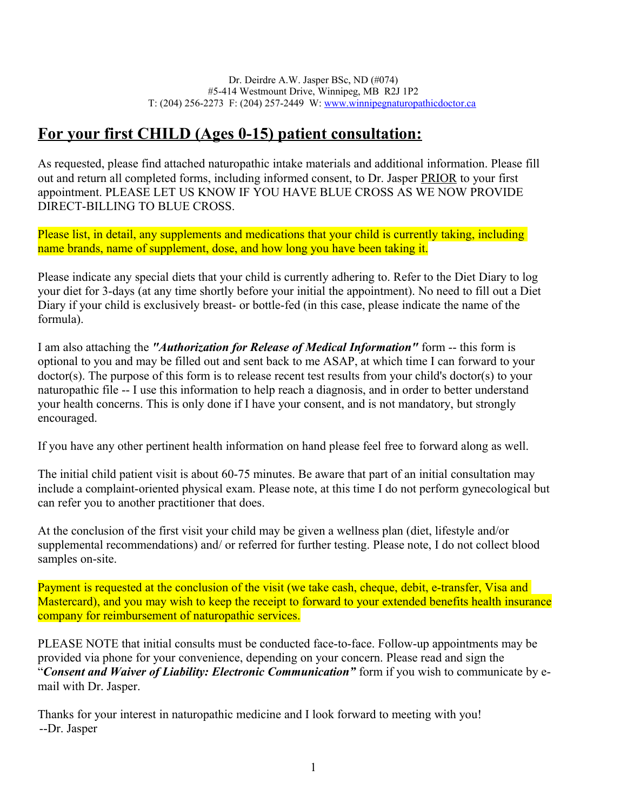# **For your first CHILD (Ages 0-15) patient consultation:**

As requested, please find attached naturopathic intake materials and additional information. Please fill out and return all completed forms, including informed consent, to Dr. Jasper PRIOR to your first appointment. PLEASE LET US KNOW IF YOU HAVE BLUE CROSS AS WE NOW PROVIDE DIRECT-BILLING TO BLUE CROSS.

Please list, in detail, any supplements and medications that your child is currently taking, including name brands, name of supplement, dose, and how long you have been taking it.

Please indicate any special diets that your child is currently adhering to. Refer to the Diet Diary to log your diet for 3-days (at any time shortly before your initial the appointment). No need to fill out a Diet Diary if your child is exclusively breast- or bottle-fed (in this case, please indicate the name of the formula).

I am also attaching the *"Authorization for Release of Medical Information"* form -- this form is optional to you and may be filled out and sent back to me ASAP, at which time I can forward to your doctor(s). The purpose of this form is to release recent test results from your child's doctor(s) to your naturopathic file -- I use this information to help reach a diagnosis, and in order to better understand your health concerns. This is only done if I have your consent, and is not mandatory, but strongly encouraged.

If you have any other pertinent health information on hand please feel free to forward along as well.

The initial child patient visit is about 60-75 minutes. Be aware that part of an initial consultation may include a complaint-oriented physical exam. Please note, at this time I do not perform gynecological but can refer you to another practitioner that does.

At the conclusion of the first visit your child may be given a wellness plan (diet, lifestyle and/or supplemental recommendations) and/ or referred for further testing. Please note, I do not collect blood samples on-site.

Payment is requested at the conclusion of the visit (we take cash, cheque, debit, e-transfer, Visa and Mastercard), and you may wish to keep the receipt to forward to your extended benefits health insurance company for reimbursement of naturopathic services.

PLEASE NOTE that initial consults must be conducted face-to-face. Follow-up appointments may be provided via phone for your convenience, depending on your concern. Please read and sign the "*Consent and Waiver of Liability: Electronic Communication"* form if you wish to communicate by email with Dr. Jasper.

Thanks for your interest in naturopathic medicine and I look forward to meeting with you! --Dr. Jasper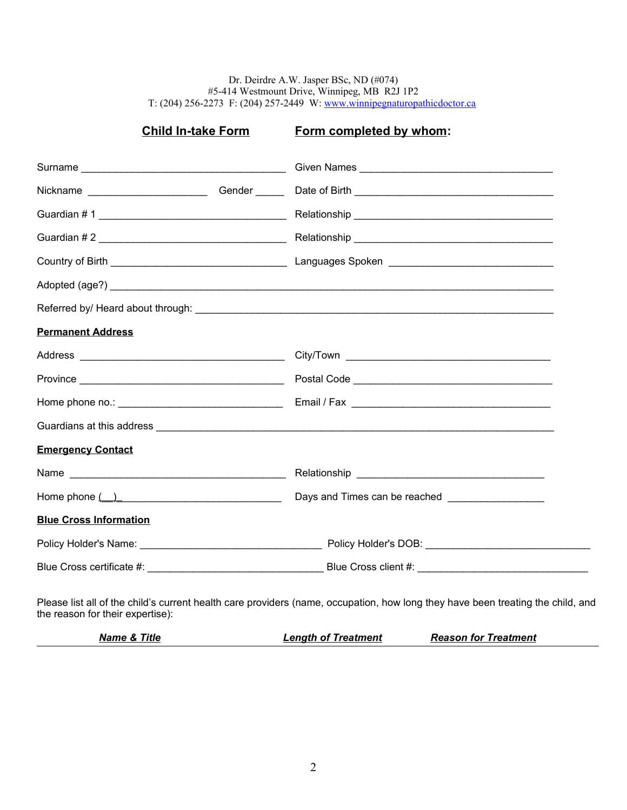Dr. Deirdre A.W. Jasper BSc, ND (#074) #5-414 Westmount Drive, Winnipeg, MB R2J 1P2 T: (204) 256-2273 F: (204) 257-2449 W: [www.winnipegnaturopathicdoctor.ca](http://www.winnipegnaturopathicdoctor.ca/)

# **Child In-take Form Form completed by whom:**

|                               | Nickname ___________________________Gender _________Date of Birth __________________________________                                                                                                                           |
|-------------------------------|--------------------------------------------------------------------------------------------------------------------------------------------------------------------------------------------------------------------------------|
|                               |                                                                                                                                                                                                                                |
|                               |                                                                                                                                                                                                                                |
|                               |                                                                                                                                                                                                                                |
|                               |                                                                                                                                                                                                                                |
|                               |                                                                                                                                                                                                                                |
| <b>Permanent Address</b>      |                                                                                                                                                                                                                                |
|                               |                                                                                                                                                                                                                                |
|                               |                                                                                                                                                                                                                                |
|                               |                                                                                                                                                                                                                                |
|                               |                                                                                                                                                                                                                                |
| <b>Emergency Contact</b>      |                                                                                                                                                                                                                                |
|                               |                                                                                                                                                                                                                                |
| Home phone $($ $)$            | Days and Times can be reached __________________                                                                                                                                                                               |
| <b>Blue Cross Information</b> |                                                                                                                                                                                                                                |
|                               |                                                                                                                                                                                                                                |
|                               | Blue Cross certificate #: Service Service Service Service Service Service Service Service Service Service Service Service Service Service Service Service Service Service Service Service Service Service Service Service Serv |
|                               |                                                                                                                                                                                                                                |

Please list all of the child's current health care providers (name, occupation, how long they have been treating the child, and the reason for their expertise):

| <b>Name &amp; Title</b> | <b>Length of Treatment</b> | <b>Reason for Treatment</b> |
|-------------------------|----------------------------|-----------------------------|
|-------------------------|----------------------------|-----------------------------|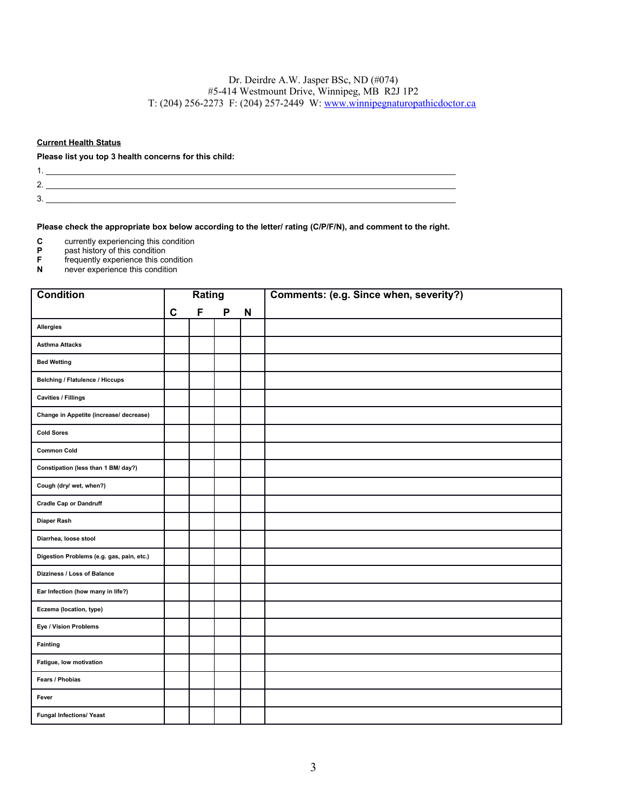### **Current Health Status**

#### **Please list you top 3 health concerns for this child:**

- $2.$   $\overline{\phantom{a}}$  $3.$ 
	-

**Please check the appropriate box below according to the letter/ rating (C/P/F/N), and comment to the right.**

1. \_\_\_\_\_\_\_\_\_\_\_\_\_\_\_\_\_\_\_\_\_\_\_\_\_\_\_\_\_\_\_\_\_\_\_\_\_\_\_\_\_\_\_\_\_\_\_\_\_\_\_\_\_\_\_\_\_\_\_\_\_\_\_\_\_\_\_\_\_\_\_\_\_\_\_\_\_\_\_\_\_\_\_\_\_\_\_\_\_\_

- **C** currently experiencing this condition<br> **P** past history of this condition
- **P** past history of this condition<br>**F** frequently experience this condition<br>**N** never experience this condition
- frequently experience this condition
- **N** never experience this condition

| <b>Condition</b>                          |             | Rating |              |             | Comments: (e.g. Since when, severity?) |
|-------------------------------------------|-------------|--------|--------------|-------------|----------------------------------------|
|                                           | $\mathbf c$ | F      | $\mathsf{P}$ | $\mathsf N$ |                                        |
| Allergies                                 |             |        |              |             |                                        |
| <b>Asthma Attacks</b>                     |             |        |              |             |                                        |
| <b>Bed Wetting</b>                        |             |        |              |             |                                        |
| <b>Belching / Flatulence / Hiccups</b>    |             |        |              |             |                                        |
| <b>Cavities / Fillings</b>                |             |        |              |             |                                        |
| Change in Appetite (increase/ decrease)   |             |        |              |             |                                        |
| <b>Cold Sores</b>                         |             |        |              |             |                                        |
| <b>Common Cold</b>                        |             |        |              |             |                                        |
| Constipation (less than 1 BM/ day?)       |             |        |              |             |                                        |
| Cough (dry/ wet, when?)                   |             |        |              |             |                                        |
| <b>Cradle Cap or Dandruff</b>             |             |        |              |             |                                        |
| Diaper Rash                               |             |        |              |             |                                        |
| Diarrhea, loose stool                     |             |        |              |             |                                        |
| Digestion Problems (e.g. gas, pain, etc.) |             |        |              |             |                                        |
| Dizziness / Loss of Balance               |             |        |              |             |                                        |
| Ear Infection (how many in life?)         |             |        |              |             |                                        |
| Eczema (location, type)                   |             |        |              |             |                                        |
| Eye / Vision Problems                     |             |        |              |             |                                        |
| Fainting                                  |             |        |              |             |                                        |
| Fatigue, low motivation                   |             |        |              |             |                                        |
| Fears / Phobias                           |             |        |              |             |                                        |
| Fever                                     |             |        |              |             |                                        |
| <b>Fungal Infections/ Yeast</b>           |             |        |              |             |                                        |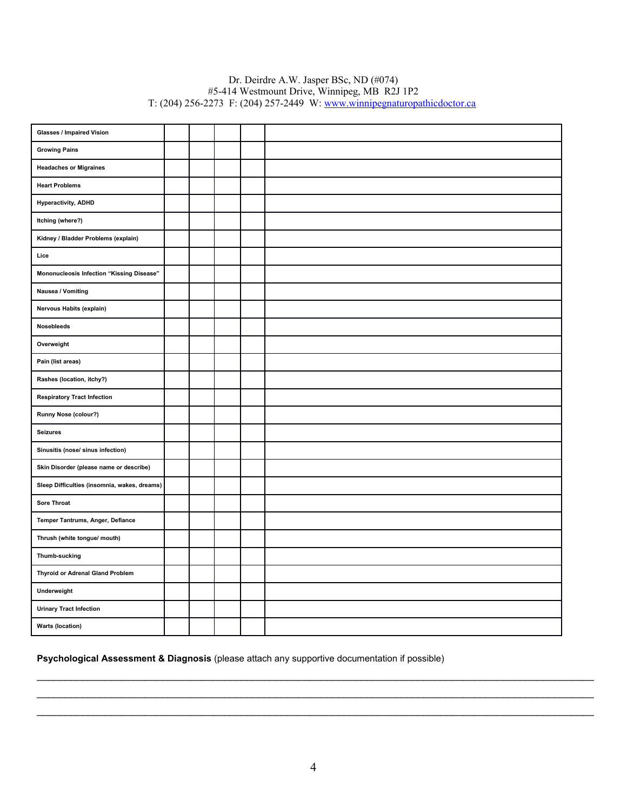### Dr. Deirdre A.W. Jasper BSc, ND (#074) #5-414 Westmount Drive, Winnipeg, MB R2J 1P2 T: (204) 256-2273 F: (204) 257-2449 W: [www.winnipegnaturopathicdoctor.ca](http://www.winnipegnaturopathicdoctor.ca/)

| <b>Glasses / Impaired Vision</b>             |  |  |  |
|----------------------------------------------|--|--|--|
| <b>Growing Pains</b>                         |  |  |  |
| <b>Headaches or Migraines</b>                |  |  |  |
| <b>Heart Problems</b>                        |  |  |  |
| <b>Hyperactivity, ADHD</b>                   |  |  |  |
| Itching (where?)                             |  |  |  |
| Kidney / Bladder Problems (explain)          |  |  |  |
| Lice                                         |  |  |  |
| Mononucleosis Infection "Kissing Disease"    |  |  |  |
| Nausea / Vomiting                            |  |  |  |
| Nervous Habits (explain)                     |  |  |  |
| Nosebleeds                                   |  |  |  |
| Overweight                                   |  |  |  |
| Pain (list areas)                            |  |  |  |
| Rashes (location, itchy?)                    |  |  |  |
| <b>Respiratory Tract Infection</b>           |  |  |  |
| Runny Nose (colour?)                         |  |  |  |
| <b>Seizures</b>                              |  |  |  |
| Sinusitis (nose/ sinus infection)            |  |  |  |
| Skin Disorder (please name or describe)      |  |  |  |
| Sleep Difficulties (insomnia, wakes, dreams) |  |  |  |
| Sore Throat                                  |  |  |  |
| Temper Tantrums, Anger, Defiance             |  |  |  |
| Thrush (white tongue/ mouth)                 |  |  |  |
| Thumb-sucking                                |  |  |  |
| <b>Thyroid or Adrenal Gland Problem</b>      |  |  |  |
| Underweight                                  |  |  |  |
| <b>Urinary Tract Infection</b>               |  |  |  |
| <b>Warts (location)</b>                      |  |  |  |

### **Psychological Assessment & Diagnosis** (please attach any supportive documentation if possible)

\_\_\_\_\_\_\_\_\_\_\_\_\_\_\_\_\_\_\_\_\_\_\_\_\_\_\_\_\_\_\_\_\_\_\_\_\_\_\_\_\_\_\_\_\_\_\_\_\_\_\_\_\_\_\_\_\_\_\_\_\_\_\_\_\_\_\_\_\_\_\_\_\_\_\_\_\_\_\_\_\_\_\_\_\_\_\_\_\_\_\_\_\_\_\_\_\_\_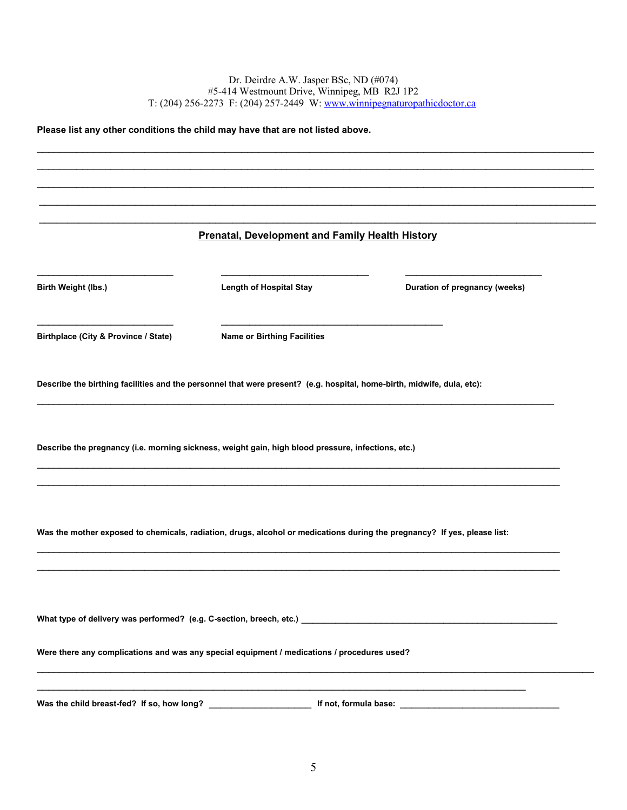**Please list any other conditions the child may have that are not listed above. Prenatal, Development and Family Health History Birth Weight (lbs.) Length of Hospital Stay Duration of pregnancy (weeks)**  $\frac{1}{2}$  , and the set of the set of the set of the set of the set of the set of the set of the set of the set of the set of the set of the set of the set of the set of the set of the set of the set of the set of the set **Birthplace (City & Province / State) Name or Birthing Facilities Describe the birthing facilities and the personnel that were present? (e.g. hospital, home-birth, midwife, dula, etc):**  $\mathcal{L}_\mathcal{L} = \mathcal{L}_\mathcal{L} = \mathcal{L}_\mathcal{L} = \mathcal{L}_\mathcal{L} = \mathcal{L}_\mathcal{L} = \mathcal{L}_\mathcal{L} = \mathcal{L}_\mathcal{L} = \mathcal{L}_\mathcal{L} = \mathcal{L}_\mathcal{L} = \mathcal{L}_\mathcal{L} = \mathcal{L}_\mathcal{L} = \mathcal{L}_\mathcal{L} = \mathcal{L}_\mathcal{L} = \mathcal{L}_\mathcal{L} = \mathcal{L}_\mathcal{L} = \mathcal{L}_\mathcal{L} = \mathcal{L}_\mathcal{L}$ **Describe the pregnancy (i.e. morning sickness, weight gain, high blood pressure, infections, etc.)**  $\mathcal{L}_\mathcal{L} = \mathcal{L}_\mathcal{L} = \mathcal{L}_\mathcal{L} = \mathcal{L}_\mathcal{L} = \mathcal{L}_\mathcal{L} = \mathcal{L}_\mathcal{L} = \mathcal{L}_\mathcal{L} = \mathcal{L}_\mathcal{L} = \mathcal{L}_\mathcal{L} = \mathcal{L}_\mathcal{L} = \mathcal{L}_\mathcal{L} = \mathcal{L}_\mathcal{L} = \mathcal{L}_\mathcal{L} = \mathcal{L}_\mathcal{L} = \mathcal{L}_\mathcal{L} = \mathcal{L}_\mathcal{L} = \mathcal{L}_\mathcal{L}$  $\mathcal{L}_\mathcal{L} = \mathcal{L}_\mathcal{L} = \mathcal{L}_\mathcal{L} = \mathcal{L}_\mathcal{L} = \mathcal{L}_\mathcal{L} = \mathcal{L}_\mathcal{L} = \mathcal{L}_\mathcal{L} = \mathcal{L}_\mathcal{L} = \mathcal{L}_\mathcal{L} = \mathcal{L}_\mathcal{L} = \mathcal{L}_\mathcal{L} = \mathcal{L}_\mathcal{L} = \mathcal{L}_\mathcal{L} = \mathcal{L}_\mathcal{L} = \mathcal{L}_\mathcal{L} = \mathcal{L}_\mathcal{L} = \mathcal{L}_\mathcal{L}$ **Was the mother exposed to chemicals, radiation, drugs, alcohol or medications during the pregnancy? If yes, please list: What type of delivery was performed? (e.g. C-section, breech, etc.)** \_\_\_\_\_\_\_\_\_\_\_\_\_\_\_\_\_\_\_\_\_\_\_\_\_\_\_\_\_\_\_\_\_\_\_\_\_\_\_\_\_\_\_\_\_ **Were there any complications and was any special equipment / medications / procedures used?** \_\_\_\_\_\_\_\_\_\_\_\_\_\_\_\_\_\_\_\_\_\_\_\_\_\_\_\_\_\_\_\_\_\_\_\_\_\_\_\_\_\_\_\_\_\_\_\_\_\_\_\_\_\_\_\_\_\_\_\_\_\_\_\_\_\_\_\_\_\_\_\_\_\_\_\_\_\_\_\_\_\_\_\_\_\_\_\_\_\_\_\_\_\_\_\_\_\_ \_\_\_\_\_\_\_\_\_\_\_\_\_\_\_\_\_\_\_\_\_\_\_\_\_\_\_\_\_\_\_\_\_\_\_\_\_\_\_\_\_\_\_\_\_\_\_\_\_\_\_\_\_\_\_\_\_\_\_\_\_\_\_\_\_\_\_\_\_\_\_\_\_\_\_\_\_\_\_\_\_\_\_\_\_\_ **Was the child breast-fed? If so, how long?** \_\_\_\_\_\_\_\_\_\_\_\_\_\_\_\_\_\_ **If not, formula base:** \_\_\_\_\_\_\_\_\_\_\_\_\_\_\_\_\_\_\_\_\_\_\_\_\_\_\_\_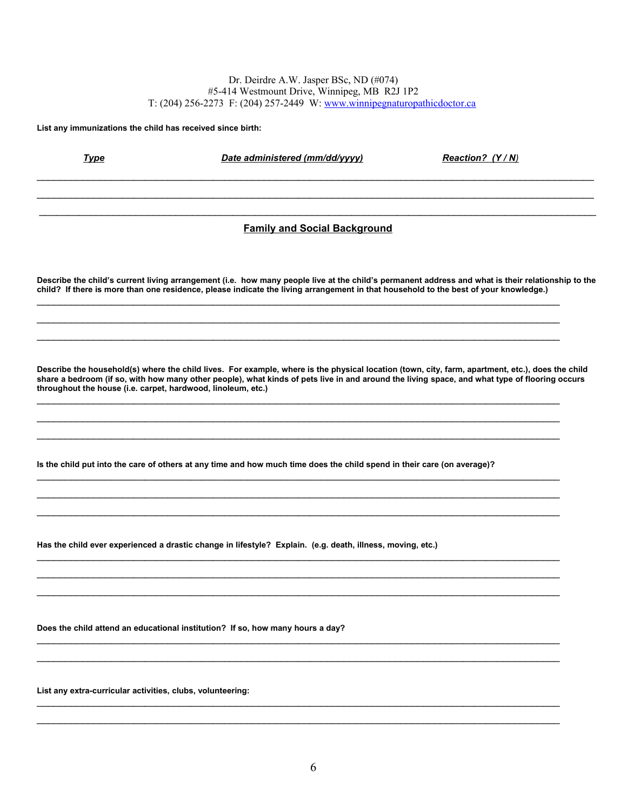**List any immunizations the child has received since birth:**

*Type Date administered (mm/dd/yyyy) Reaction? (Y/N)* 

 $\mathcal{L}_\mathcal{L} = \mathcal{L}_\mathcal{L} = \mathcal{L}_\mathcal{L} = \mathcal{L}_\mathcal{L} = \mathcal{L}_\mathcal{L} = \mathcal{L}_\mathcal{L} = \mathcal{L}_\mathcal{L} = \mathcal{L}_\mathcal{L} = \mathcal{L}_\mathcal{L} = \mathcal{L}_\mathcal{L} = \mathcal{L}_\mathcal{L} = \mathcal{L}_\mathcal{L} = \mathcal{L}_\mathcal{L} = \mathcal{L}_\mathcal{L} = \mathcal{L}_\mathcal{L} = \mathcal{L}_\mathcal{L} = \mathcal{L}_\mathcal{L}$ **Family and Social Background**

 $\mathcal{L}_\mathcal{L} = \mathcal{L}_\mathcal{L} = \mathcal{L}_\mathcal{L} = \mathcal{L}_\mathcal{L} = \mathcal{L}_\mathcal{L} = \mathcal{L}_\mathcal{L} = \mathcal{L}_\mathcal{L} = \mathcal{L}_\mathcal{L} = \mathcal{L}_\mathcal{L} = \mathcal{L}_\mathcal{L} = \mathcal{L}_\mathcal{L} = \mathcal{L}_\mathcal{L} = \mathcal{L}_\mathcal{L} = \mathcal{L}_\mathcal{L} = \mathcal{L}_\mathcal{L} = \mathcal{L}_\mathcal{L} = \mathcal{L}_\mathcal{L}$  $\mathcal{L}_\mathcal{L} = \mathcal{L}_\mathcal{L} = \mathcal{L}_\mathcal{L} = \mathcal{L}_\mathcal{L} = \mathcal{L}_\mathcal{L} = \mathcal{L}_\mathcal{L} = \mathcal{L}_\mathcal{L} = \mathcal{L}_\mathcal{L} = \mathcal{L}_\mathcal{L} = \mathcal{L}_\mathcal{L} = \mathcal{L}_\mathcal{L} = \mathcal{L}_\mathcal{L} = \mathcal{L}_\mathcal{L} = \mathcal{L}_\mathcal{L} = \mathcal{L}_\mathcal{L} = \mathcal{L}_\mathcal{L} = \mathcal{L}_\mathcal{L}$ 

**Describe the child's current living arrangement (i.e. how many people live at the child's permanent address and what is their relationship to the child? If there is more than one residence, please indicate the living arrangement in that household to the best of your knowledge.)**

\_\_\_\_\_\_\_\_\_\_\_\_\_\_\_\_\_\_\_\_\_\_\_\_\_\_\_\_\_\_\_\_\_\_\_\_\_\_\_\_\_\_\_\_\_\_\_\_\_\_\_\_\_\_\_\_\_\_\_\_\_\_\_\_\_\_\_\_\_\_\_\_\_\_\_\_\_\_\_\_\_\_\_\_\_\_\_\_\_\_\_\_

\_\_\_\_\_\_\_\_\_\_\_\_\_\_\_\_\_\_\_\_\_\_\_\_\_\_\_\_\_\_\_\_\_\_\_\_\_\_\_\_\_\_\_\_\_\_\_\_\_\_\_\_\_\_\_\_\_\_\_\_\_\_\_\_\_\_\_\_\_\_\_\_\_\_\_\_\_\_\_\_\_\_\_\_\_\_\_\_\_\_\_\_

 $\mathcal{L}_\mathcal{L} = \mathcal{L}_\mathcal{L} = \mathcal{L}_\mathcal{L} = \mathcal{L}_\mathcal{L} = \mathcal{L}_\mathcal{L} = \mathcal{L}_\mathcal{L} = \mathcal{L}_\mathcal{L} = \mathcal{L}_\mathcal{L} = \mathcal{L}_\mathcal{L} = \mathcal{L}_\mathcal{L} = \mathcal{L}_\mathcal{L} = \mathcal{L}_\mathcal{L} = \mathcal{L}_\mathcal{L} = \mathcal{L}_\mathcal{L} = \mathcal{L}_\mathcal{L} = \mathcal{L}_\mathcal{L} = \mathcal{L}_\mathcal{L}$  $\mathcal{L}_\mathcal{L} = \mathcal{L}_\mathcal{L} = \mathcal{L}_\mathcal{L} = \mathcal{L}_\mathcal{L} = \mathcal{L}_\mathcal{L} = \mathcal{L}_\mathcal{L} = \mathcal{L}_\mathcal{L} = \mathcal{L}_\mathcal{L} = \mathcal{L}_\mathcal{L} = \mathcal{L}_\mathcal{L} = \mathcal{L}_\mathcal{L} = \mathcal{L}_\mathcal{L} = \mathcal{L}_\mathcal{L} = \mathcal{L}_\mathcal{L} = \mathcal{L}_\mathcal{L} = \mathcal{L}_\mathcal{L} = \mathcal{L}_\mathcal{L}$  $\mathcal{L}_\mathcal{L} = \mathcal{L}_\mathcal{L} = \mathcal{L}_\mathcal{L} = \mathcal{L}_\mathcal{L} = \mathcal{L}_\mathcal{L} = \mathcal{L}_\mathcal{L} = \mathcal{L}_\mathcal{L} = \mathcal{L}_\mathcal{L} = \mathcal{L}_\mathcal{L} = \mathcal{L}_\mathcal{L} = \mathcal{L}_\mathcal{L} = \mathcal{L}_\mathcal{L} = \mathcal{L}_\mathcal{L} = \mathcal{L}_\mathcal{L} = \mathcal{L}_\mathcal{L} = \mathcal{L}_\mathcal{L} = \mathcal{L}_\mathcal{L}$ 

**Describe the household(s) where the child lives. For example, where is the physical location (town, city, farm, apartment, etc.), does the child share a bedroom (if so, with how many other people), what kinds of pets live in and around the living space, and what type of flooring occurs throughout the house (i.e. carpet, hardwood, linoleum, etc.)** 

**Is the child put into the care of others at any time and how much time does the child spend in their care (on average)?**

**Has the child ever experienced a drastic change in lifestyle? Explain. (e.g. death, illness, moving, etc.)** 

**Does the child attend an educational institution? If so, how many hours a day?** 

**List any extra-curricular activities, clubs, volunteering:**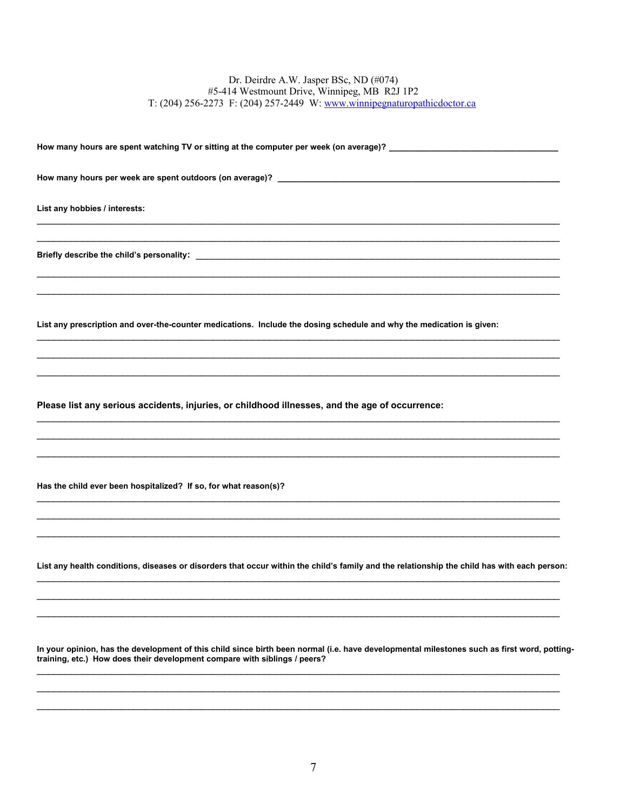How many hours per week are spent outdoors (on average)? \_\_\_\_\_\_\_\_\_\_\_\_\_\_\_\_\_\_\_\_\_\_\_

List any hobbies / interests:

Briefly describe the child's personality:<br>
Similarly describe the child's personality:

List any prescription and over-the-counter medications. Include the dosing schedule and why the medication is given:

Please list any serious accidents, injuries, or childhood illnesses, and the age of occurrence:

Has the child ever been hospitalized? If so, for what reason(s)?

List any health conditions, diseases or disorders that occur within the child's family and the relationship the child has with each person:

In your opinion, has the development of this child since birth been normal (i.e. have developmental milestones such as first word, pottingtraining, etc.) How does their development compare with siblings / peers?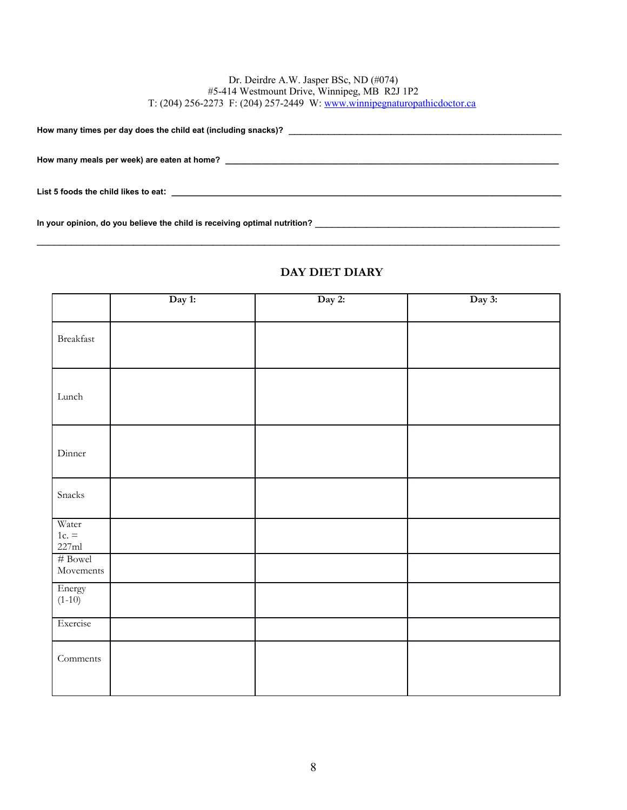**How many times per day does the child eat (including snacks)?** \_\_\_\_\_\_\_\_\_\_\_\_\_\_\_\_\_\_\_\_\_\_\_\_\_\_\_\_\_\_\_\_\_\_\_\_\_\_\_\_\_\_\_\_\_\_\_\_

**How many meals per week) are eaten at home? \_\_\_\_\_\_\_\_\_\_\_\_\_\_\_\_\_\_\_\_\_\_\_\_\_\_\_\_\_\_\_\_\_\_\_\_\_\_\_\_\_\_\_\_\_\_\_\_\_\_\_\_\_\_\_\_\_\_\_\_\_\_\_\_\_**

**List 5 foods the child likes to eat: \_\_\_\_\_\_\_\_\_\_\_\_\_\_\_\_\_\_\_\_\_\_\_\_\_\_\_\_\_\_\_\_\_\_\_\_\_\_\_\_\_\_\_\_\_\_\_\_\_\_\_\_\_\_\_\_\_\_\_\_\_\_\_\_\_\_\_\_\_\_\_\_\_\_\_\_**

**In your opinion, do you believe the child is receiving optimal nutrition?** \_\_\_\_\_\_\_\_\_\_\_\_\_\_\_\_\_\_\_\_\_\_\_\_\_\_\_\_\_\_\_\_\_\_\_\_\_\_\_\_\_\_\_

|                    | Day 1: | Day 2: | Day 3: |
|--------------------|--------|--------|--------|
|                    |        |        |        |
| Breakfast          |        |        |        |
|                    |        |        |        |
|                    |        |        |        |
| $\mbox{\rm Lunch}$ |        |        |        |
|                    |        |        |        |
|                    |        |        |        |
| Dinner             |        |        |        |
|                    |        |        |        |
| Snacks             |        |        |        |
|                    |        |        |        |
| Water              |        |        |        |
| $1c. =$<br>227ml   |        |        |        |
| $\#$ Bowel         |        |        |        |
| Movements          |        |        |        |
| Energy<br>$(1-10)$ |        |        |        |
|                    |        |        |        |
| Exercise           |        |        |        |
| Comments           |        |        |        |
|                    |        |        |        |
|                    |        |        |        |

### **DAY DIET DIARY**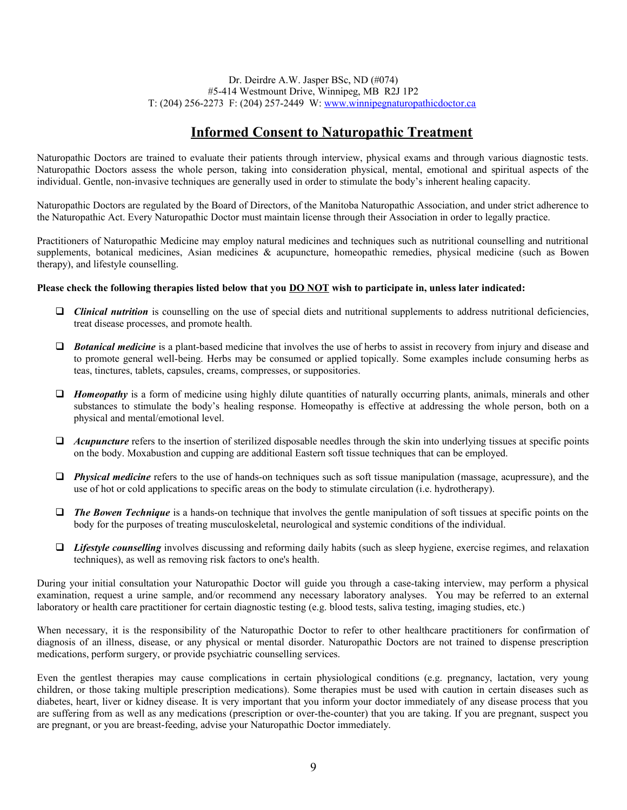# **Informed Consent to Naturopathic Treatment**

Naturopathic Doctors are trained to evaluate their patients through interview, physical exams and through various diagnostic tests. Naturopathic Doctors assess the whole person, taking into consideration physical, mental, emotional and spiritual aspects of the individual. Gentle, non-invasive techniques are generally used in order to stimulate the body's inherent healing capacity.

Naturopathic Doctors are regulated by the Board of Directors, of the Manitoba Naturopathic Association, and under strict adherence to the Naturopathic Act. Every Naturopathic Doctor must maintain license through their Association in order to legally practice.

Practitioners of Naturopathic Medicine may employ natural medicines and techniques such as nutritional counselling and nutritional supplements, botanical medicines, Asian medicines & acupuncture, homeopathic remedies, physical medicine (such as Bowen therapy), and lifestyle counselling.

### **Please check the following therapies listed below that you DO NOT wish to participate in, unless later indicated:**

- *Clinical nutrition* is counselling on the use of special diets and nutritional supplements to address nutritional deficiencies, treat disease processes, and promote health.
- *D Botanical medicine* is a plant-based medicine that involves the use of herbs to assist in recovery from injury and disease and to promote general well-being. Herbs may be consumed or applied topically. Some examples include consuming herbs as teas, tinctures, tablets, capsules, creams, compresses, or suppositories.
- *Homeopathy* is a form of medicine using highly dilute quantities of naturally occurring plants, animals, minerals and other substances to stimulate the body's healing response. Homeopathy is effective at addressing the whole person, both on a physical and mental/emotional level.
- *Acupuncture* refers to the insertion of sterilized disposable needles through the skin into underlying tissues at specific points on the body. Moxabustion and cupping are additional Eastern soft tissue techniques that can be employed.
- *Physical medicine* refers to the use of hands-on techniques such as soft tissue manipulation (massage, acupressure), and the use of hot or cold applications to specific areas on the body to stimulate circulation (i.e. hydrotherapy).
- *The Bowen Technique* is a hands-on technique that involves the gentle manipulation of soft tissues at specific points on the body for the purposes of treating musculoskeletal, neurological and systemic conditions of the individual.
- *Lifestyle counselling* involves discussing and reforming daily habits (such as sleep hygiene, exercise regimes, and relaxation techniques), as well as removing risk factors to one's health.

During your initial consultation your Naturopathic Doctor will guide you through a case-taking interview, may perform a physical examination, request a urine sample, and/or recommend any necessary laboratory analyses. You may be referred to an external laboratory or health care practitioner for certain diagnostic testing (e.g. blood tests, saliva testing, imaging studies, etc.)

When necessary, it is the responsibility of the Naturopathic Doctor to refer to other healthcare practitioners for confirmation of diagnosis of an illness, disease, or any physical or mental disorder. Naturopathic Doctors are not trained to dispense prescription medications, perform surgery, or provide psychiatric counselling services.

Even the gentlest therapies may cause complications in certain physiological conditions (e.g. pregnancy, lactation, very young children, or those taking multiple prescription medications). Some therapies must be used with caution in certain diseases such as diabetes, heart, liver or kidney disease. It is very important that you inform your doctor immediately of any disease process that you are suffering from as well as any medications (prescription or over-the-counter) that you are taking. If you are pregnant, suspect you are pregnant, or you are breast-feeding, advise your Naturopathic Doctor immediately.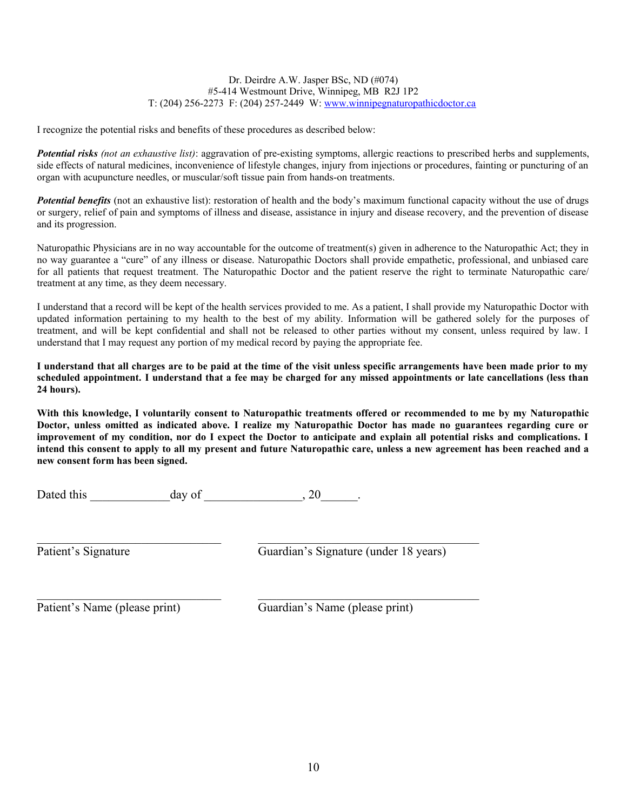I recognize the potential risks and benefits of these procedures as described below:

*Potential risks (not an exhaustive list)*: aggravation of pre-existing symptoms, allergic reactions to prescribed herbs and supplements, side effects of natural medicines, inconvenience of lifestyle changes, injury from injections or procedures, fainting or puncturing of an organ with acupuncture needles, or muscular/soft tissue pain from hands-on treatments.

**Potential benefits** (not an exhaustive list): restoration of health and the body's maximum functional capacity without the use of drugs or surgery, relief of pain and symptoms of illness and disease, assistance in injury and disease recovery, and the prevention of disease and its progression.

Naturopathic Physicians are in no way accountable for the outcome of treatment(s) given in adherence to the Naturopathic Act; they in no way guarantee a "cure" of any illness or disease. Naturopathic Doctors shall provide empathetic, professional, and unbiased care for all patients that request treatment. The Naturopathic Doctor and the patient reserve the right to terminate Naturopathic care/ treatment at any time, as they deem necessary.

I understand that a record will be kept of the health services provided to me. As a patient, I shall provide my Naturopathic Doctor with updated information pertaining to my health to the best of my ability. Information will be gathered solely for the purposes of treatment, and will be kept confidential and shall not be released to other parties without my consent, unless required by law. I understand that I may request any portion of my medical record by paying the appropriate fee.

**I understand that all charges are to be paid at the time of the visit unless specific arrangements have been made prior to my scheduled appointment. I understand that a fee may be charged for any missed appointments or late cancellations (less than 24 hours).**

**With this knowledge, I voluntarily consent to Naturopathic treatments offered or recommended to me by my Naturopathic Doctor, unless omitted as indicated above. I realize my Naturopathic Doctor has made no guarantees regarding cure or improvement of my condition, nor do I expect the Doctor to anticipate and explain all potential risks and complications. I intend this consent to apply to all my present and future Naturopathic care, unless a new agreement has been reached and a new consent form has been signed.**

Dated this day of 20 and  $\frac{1}{2}$ .

 $\mathcal{L}_\mathcal{L} = \mathcal{L}_\mathcal{L} = \mathcal{L}_\mathcal{L} = \mathcal{L}_\mathcal{L} = \mathcal{L}_\mathcal{L} = \mathcal{L}_\mathcal{L} = \mathcal{L}_\mathcal{L} = \mathcal{L}_\mathcal{L} = \mathcal{L}_\mathcal{L} = \mathcal{L}_\mathcal{L} = \mathcal{L}_\mathcal{L} = \mathcal{L}_\mathcal{L} = \mathcal{L}_\mathcal{L} = \mathcal{L}_\mathcal{L} = \mathcal{L}_\mathcal{L} = \mathcal{L}_\mathcal{L} = \mathcal{L}_\mathcal{L}$ 

Patient's Signature Guardian's Signature (under 18 years)

Patient's Name (please print) Guardian's Name (please print)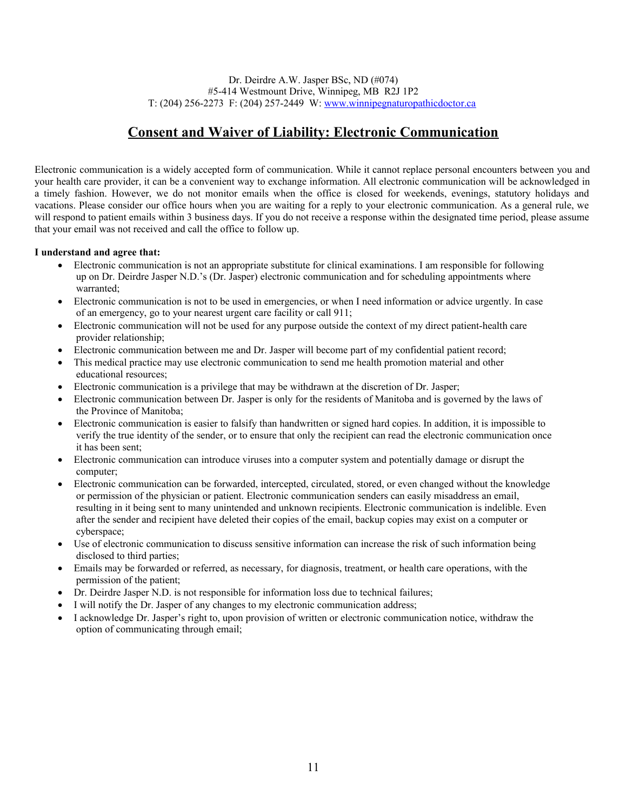# **Consent and Waiver of Liability: Electronic Communication**

Electronic communication is a widely accepted form of communication. While it cannot replace personal encounters between you and your health care provider, it can be a convenient way to exchange information. All electronic communication will be acknowledged in a timely fashion. However, we do not monitor emails when the office is closed for weekends, evenings, statutory holidays and vacations. Please consider our office hours when you are waiting for a reply to your electronic communication. As a general rule, we will respond to patient emails within 3 business days. If you do not receive a response within the designated time period, please assume that your email was not received and call the office to follow up.

### **I understand and agree that:**

- Electronic communication is not an appropriate substitute for clinical examinations. I am responsible for following up on Dr. Deirdre Jasper N.D.'s (Dr. Jasper) electronic communication and for scheduling appointments where warranted;
- Electronic communication is not to be used in emergencies, or when I need information or advice urgently. In case of an emergency, go to your nearest urgent care facility or call 911;
- Electronic communication will not be used for any purpose outside the context of my direct patient-health care provider relationship;
- Electronic communication between me and Dr. Jasper will become part of my confidential patient record;
- This medical practice may use electronic communication to send me health promotion material and other educational resources;
- Electronic communication is a privilege that may be withdrawn at the discretion of Dr. Jasper;
- Electronic communication between Dr. Jasper is only for the residents of Manitoba and is governed by the laws of the Province of Manitoba;
- Electronic communication is easier to falsify than handwritten or signed hard copies. In addition, it is impossible to verify the true identity of the sender, or to ensure that only the recipient can read the electronic communication once it has been sent;
- Electronic communication can introduce viruses into a computer system and potentially damage or disrupt the computer;
- Electronic communication can be forwarded, intercepted, circulated, stored, or even changed without the knowledge or permission of the physician or patient. Electronic communication senders can easily misaddress an email, resulting in it being sent to many unintended and unknown recipients. Electronic communication is indelible. Even after the sender and recipient have deleted their copies of the email, backup copies may exist on a computer or cyberspace;
- Use of electronic communication to discuss sensitive information can increase the risk of such information being disclosed to third parties;
- Emails may be forwarded or referred, as necessary, for diagnosis, treatment, or health care operations, with the permission of the patient;
- Dr. Deirdre Jasper N.D. is not responsible for information loss due to technical failures;
- I will notify the Dr. Jasper of any changes to my electronic communication address;
- I acknowledge Dr. Jasper's right to, upon provision of written or electronic communication notice, withdraw the option of communicating through email;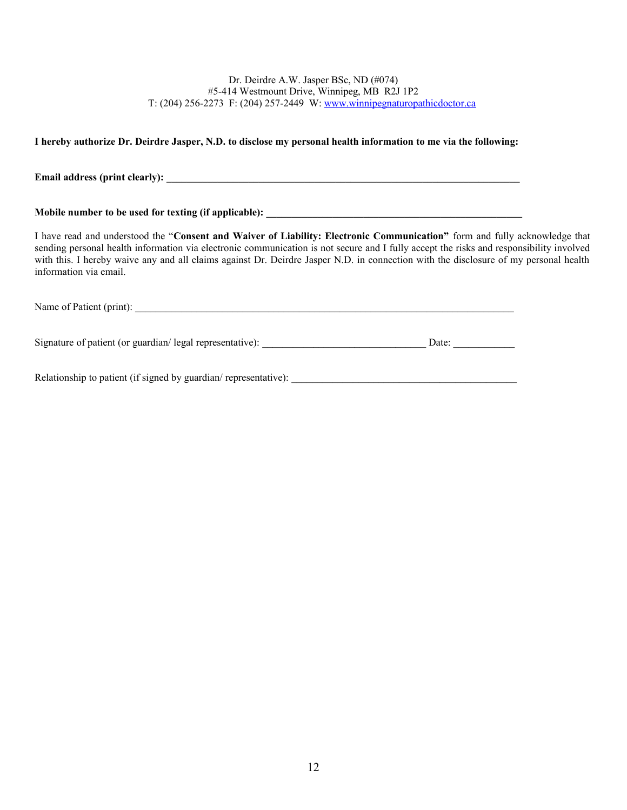### **I hereby authorize Dr. Deirdre Jasper, N.D. to disclose my personal health information to me via the following:**

**Email address (print clearly):**  $\blacksquare$ 

Mobile number to be used for texting (if applicable):

I have read and understood the "**Consent and Waiver of Liability: Electronic Communication"** form and fully acknowledge that sending personal health information via electronic communication is not secure and I fully accept the risks and responsibility involved with this. I hereby waive any and all claims against Dr. Deirdre Jasper N.D. in connection with the disclosure of my personal health information via email.

Name of Patient (print):

Signature of patient (or guardian/ legal representative):  $\Box$  Date:  $\Box$ 

Relationship to patient (if signed by guardian/ representative):